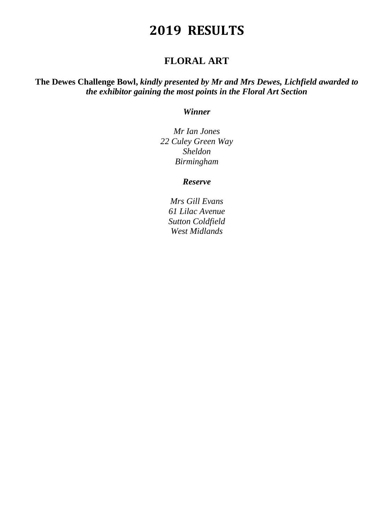## **FLORAL ART**

**The Dewes Challenge Bowl,** *kindly presented by Mr and Mrs Dewes, Lichfield awarded to the exhibitor gaining the most points in the Floral Art Section*

### *Winner*

*Mr Ian Jones 22 Culey Green Way Sheldon Birmingham*

### *Reserve*

*Mrs Gill Evans 61 Lilac Avenue Sutton Coldfield West Midlands*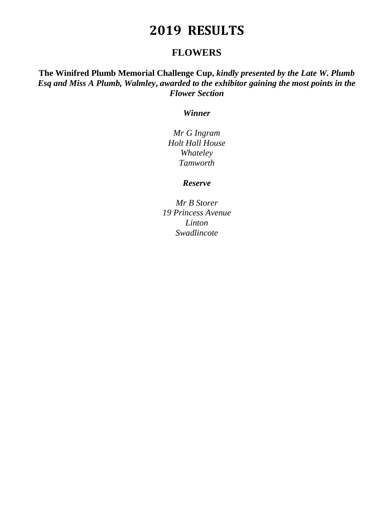## **FLOWERS**

**The Winifred Plumb Memorial Challenge Cup,** *kindly presented by the Late W. Plumb Esq and Miss A Plumb, Walmley***,** *awarded to the exhibitor gaining the most points in the Flower Section*

### *Winner*

*Mr G Ingram Holt Hall House Whateley Tamworth*

### *Reserve*

*Mr B Storer 19 Princess Avenue Linton Swadlincote*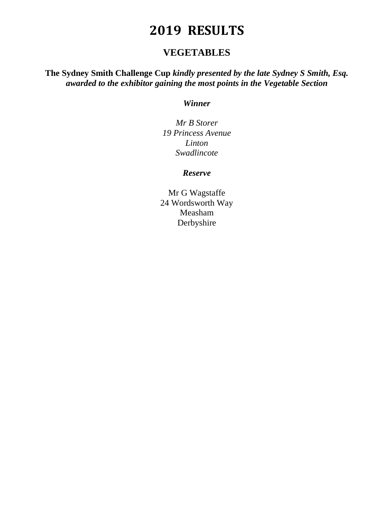## **VEGETABLES**

## **The Sydney Smith Challenge Cup** *kindly presented by the late Sydney S Smith, Esq. awarded to the exhibitor gaining the most points in the Vegetable Section*

### *Winner*

*Mr B Storer 19 Princess Avenue Linton Swadlincote*

### *Reserve*

Mr G Wagstaffe 24 Wordsworth Way Measham Derbyshire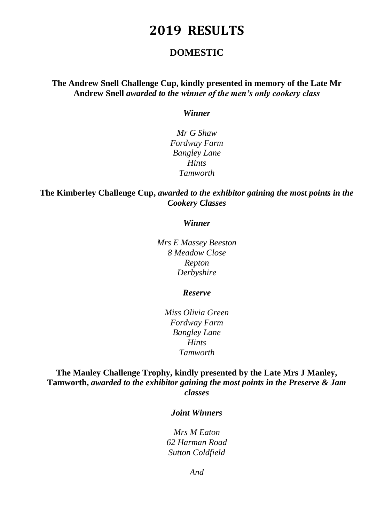## **DOMESTIC**

## **The Andrew Snell Challenge Cup, kindly presented in memory of the Late Mr Andrew Snell** *awarded to the winner of the men's only cookery class*

#### *Winner*

*Mr G Shaw Fordway Farm Bangley Lane Hints Tamworth*

## **The Kimberley Challenge Cup,** *awarded to the exhibitor gaining the most points in the Cookery Classes*

#### *Winner*

*Mrs E Massey Beeston 8 Meadow Close Repton Derbyshire*

#### *Reserve*

*Miss Olivia Green Fordway Farm Bangley Lane Hints Tamworth*

## **The Manley Challenge Trophy, kindly presented by the Late Mrs J Manley, Tamworth,** *awarded to the exhibitor gaining the most points in the Preserve & Jam classes*

#### *Joint Winners*

*Mrs M Eaton 62 Harman Road Sutton Coldfield*

*And*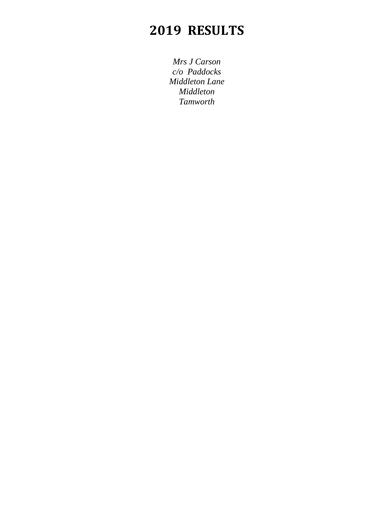*Mrs J Carson c/o Paddocks Middleton Lane Middleton Tamworth*